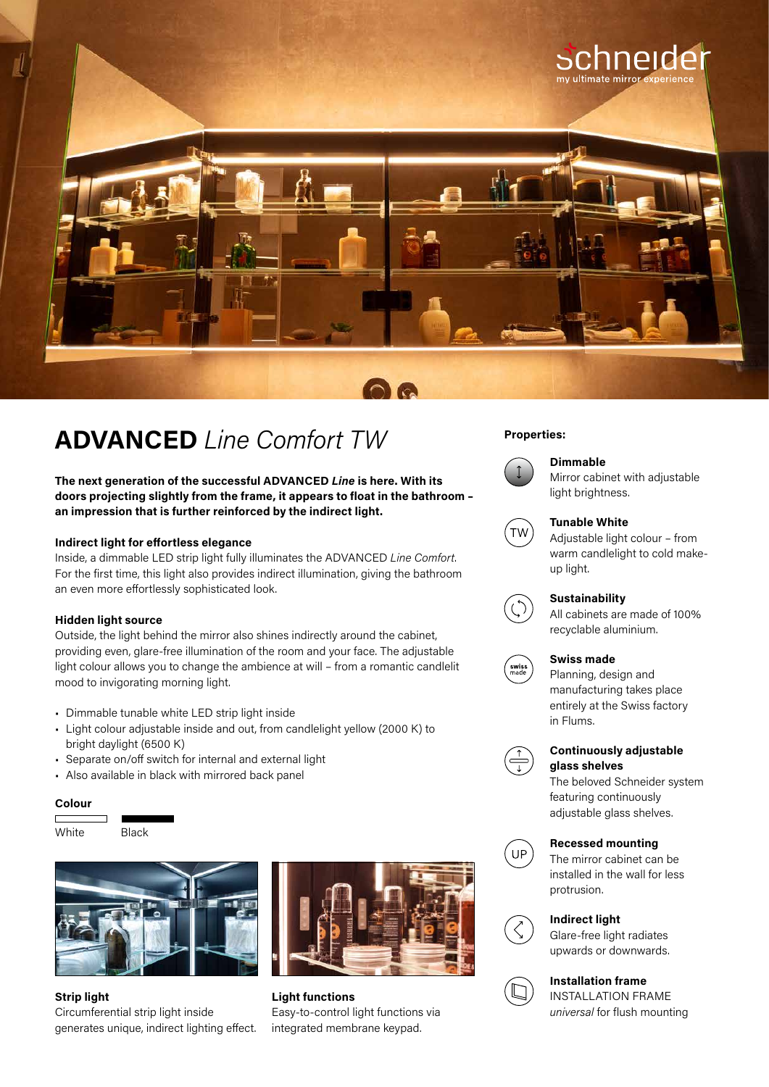

# **Properties: ADVANCED** *Line Comfort TW*

**The next generation of the successful ADVANCED** *Line* **is here. With its doors projecting slightly from the frame, it appears to float in the bathroom – an impression that is further reinforced by the indirect light.**

### **Indirect light for effortless elegance**

Inside, a dimmable LED strip light fully illuminates the ADVANCED *Line Comfort*. For the first time, this light also provides indirect illumination, giving the bathroom an even more effortlessly sophisticated look.

### **Hidden light source**

Outside, the light behind the mirror also shines indirectly around the cabinet, providing even, glare-free illumination of the room and your face. The adjustable light colour allows you to change the ambience at will – from a romantic candlelit mood to invigorating morning light.

- Dimmable tunable white LED strip light inside
- Light colour adjustable inside and out, from candlelight yellow (2000 K) to bright daylight (6500 K)
- Separate on/off switch for internal and external light
- Also available in black with mirrored back panel

### **Colour**





**Strip light**  Circumferential strip light inside generates unique, indirect lighting effect.



**Light functions** Easy-to-control light functions via integrated membrane keypad.



# **Dimmable**

Mirror cabinet with adjustable light brightness.



### **Tunable White**

Adjustable light colour – from warm candlelight to cold makeup light.



swiss<br>made

# **Sustainability**

All cabinets are made of 100% recyclable aluminium.

### **Swiss made**

Planning, design and manufacturing takes place entirely at the Swiss factory in Flums.



# **Continuously adjustable glass shelves**

The beloved Schneider system featuring continuously adjustable glass shelves.



### **Recessed mounting**

The mirror cabinet can be installed in the wall for less protrusion.



# **Indirect light**

Glare-free light radiates upwards or downwards.

## **Installation frame** INSTALLATION FRAME

*universal* for flush mounting